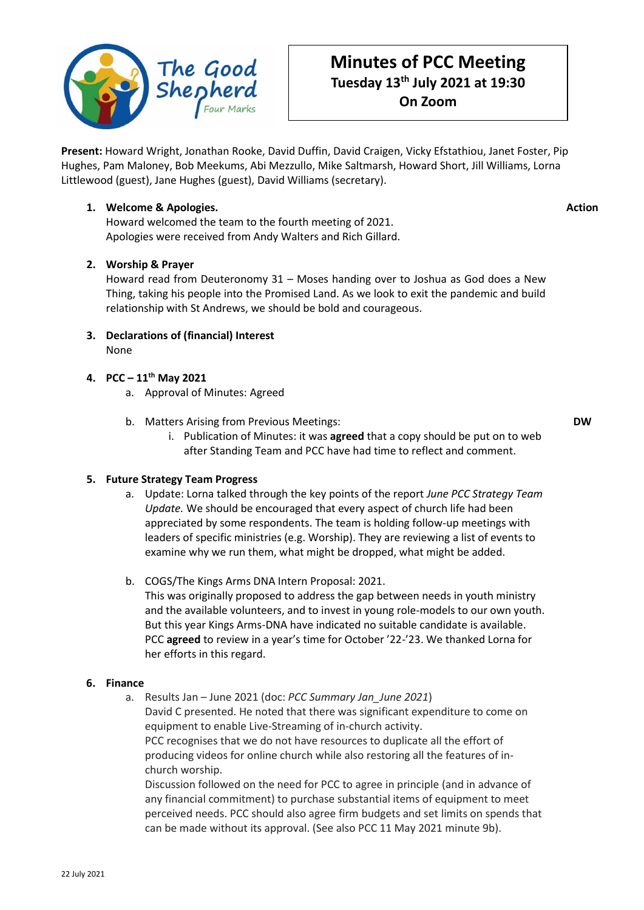

# **Minutes of PCC Meeting Tuesday 13th July 2021 at 19:30 On Zoom**

**Present:** Howard Wright, Jonathan Rooke, David Duffin, David Craigen, Vicky Efstathiou, Janet Foster, Pip Hughes, Pam Maloney, Bob Meekums, Abi Mezzullo, Mike Saltmarsh, Howard Short, Jill Williams, Lorna Littlewood (guest), Jane Hughes (guest), David Williams (secretary).

## **1. Welcome & Apologies.**

**Action**

Howard welcomed the team to the fourth meeting of 2021. Apologies were received from Andy Walters and Rich Gillard.

# **2. Worship & Prayer**

Howard read from Deuteronomy 31 – Moses handing over to Joshua as God does a New Thing, taking his people into the Promised Land. As we look to exit the pandemic and build relationship with St Andrews, we should be bold and courageous.

**3. Declarations of (financial) Interest** None

# **4. PCC – 11th May 2021**

- a. Approval of Minutes: Agreed
- b. Matters Arising from Previous Meetings:
	- i. Publication of Minutes: it was **agreed** that a copy should be put on to web after Standing Team and PCC have had time to reflect and comment.

**DW**

## **5. Future Strategy Team Progress**

- a. Update: Lorna talked through the key points of the report *June PCC Strategy Team Update.* We should be encouraged that every aspect of church life had been appreciated by some respondents. The team is holding follow-up meetings with leaders of specific ministries (e.g. Worship). They are reviewing a list of events to examine why we run them, what might be dropped, what might be added.
- b. COGS/The Kings Arms DNA Intern Proposal: 2021.

This was originally proposed to address the gap between needs in youth ministry and the available volunteers, and to invest in young role-models to our own youth. But this year Kings Arms-DNA have indicated no suitable candidate is available. PCC **agreed** to review in a year's time for October '22-'23. We thanked Lorna for her efforts in this regard.

## **6. Finance**

a. Results Jan – June 2021 (doc: *PCC Summary Jan\_June 2021*)

David C presented. He noted that there was significant expenditure to come on equipment to enable Live-Streaming of in-church activity.

PCC recognises that we do not have resources to duplicate all the effort of producing videos for online church while also restoring all the features of inchurch worship.

Discussion followed on the need for PCC to agree in principle (and in advance of any financial commitment) to purchase substantial items of equipment to meet perceived needs. PCC should also agree firm budgets and set limits on spends that can be made without its approval. (See also PCC 11 May 2021 minute 9b).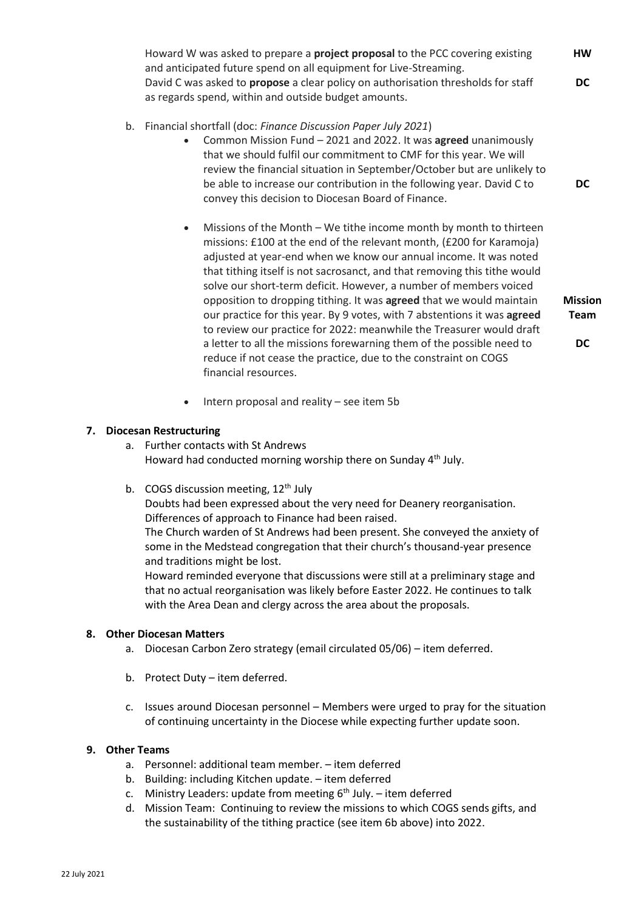- b. Financial shortfall (doc: *Finance Discussion Paper July 2021*)
	- Common Mission Fund 2021 and 2022. It was **agreed** unanimously that we should fulfil our commitment to CMF for this year. We will review the financial situation in September/October but are unlikely to be able to increase our contribution in the following year. David C to convey this decision to Diocesan Board of Finance.
	- Missions of the Month We tithe income month by month to thirteen missions: £100 at the end of the relevant month, (£200 for Karamoja) adjusted at year-end when we know our annual income. It was noted that tithing itself is not sacrosanct, and that removing this tithe would solve our short-term deficit. However, a number of members voiced opposition to dropping tithing. It was **agreed** that we would maintain our practice for this year. By 9 votes, with 7 abstentions it was **agreed** to review our practice for 2022: meanwhile the Treasurer would draft a letter to all the missions forewarning them of the possible need to reduce if not cease the practice, due to the constraint on COGS financial resources.

**Mission Team**

**DC**

**DC**

• Intern proposal and reality – see item 5b

#### **7. Diocesan Restructuring**

- a. Further contacts with St Andrews Howard had conducted morning worship there on Sunday 4<sup>th</sup> July.
- b. COGS discussion meeting, 12<sup>th</sup> July Doubts had been expressed about the very need for Deanery reorganisation. Differences of approach to Finance had been raised.

The Church warden of St Andrews had been present. She conveyed the anxiety of some in the Medstead congregation that their church's thousand-year presence and traditions might be lost.

Howard reminded everyone that discussions were still at a preliminary stage and that no actual reorganisation was likely before Easter 2022. He continues to talk with the Area Dean and clergy across the area about the proposals.

#### **8. Other Diocesan Matters**

- a. Diocesan Carbon Zero strategy (email circulated 05/06) item deferred.
- b. Protect Duty item deferred.
- c. Issues around Diocesan personnel Members were urged to pray for the situation of continuing uncertainty in the Diocese while expecting further update soon.

### **9. Other Teams**

- a. Personnel: additional team member. item deferred
- b. Building: including Kitchen update. item deferred
- c. Ministry Leaders: update from meeting  $6<sup>th</sup>$  July. item deferred
- d. Mission Team: Continuing to review the missions to which COGS sends gifts, and the sustainability of the tithing practice (see item 6b above) into 2022.